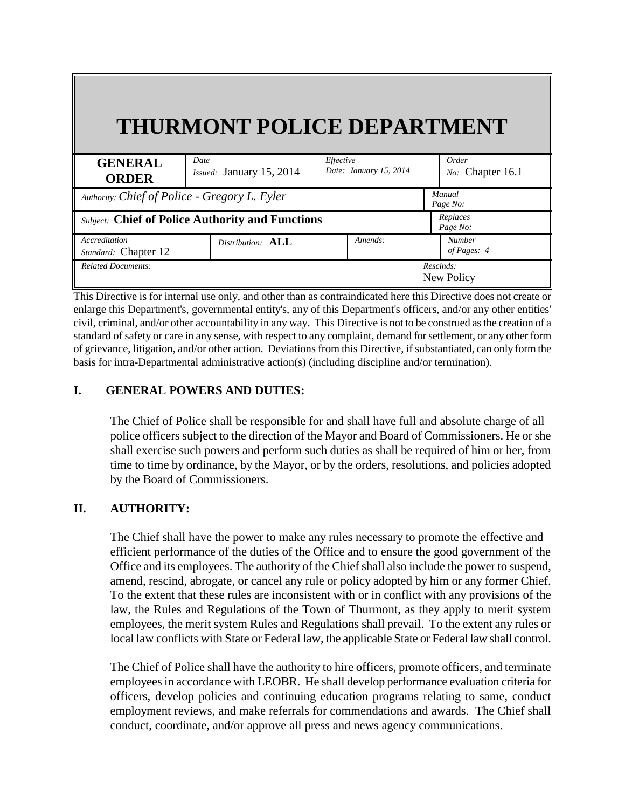|                                                                                                          | <b>THURMONT POLICE DEPARTMENT</b> |                                     |                                          |
|----------------------------------------------------------------------------------------------------------|-----------------------------------|-------------------------------------|------------------------------------------|
| <b>GENERAL</b><br><b>ORDER</b>                                                                           | Date<br>Issued: January 15, 2014  | Effective<br>Date: January 15, 2014 | Order<br>No: Chapter 16.1                |
| Authority: Chief of Police - Gregory L. Eyler<br><b>Subject:</b> Chief of Police Authority and Functions |                                   |                                     | Manual<br>Page No:<br>Replaces           |
| Accreditation<br>Standard: Chapter 12                                                                    | Distribution: ALL                 | Amends:                             | Page No:<br><b>Number</b><br>of Pages: 4 |
| <b>Related Documents:</b>                                                                                |                                   |                                     | Rescinds:<br>New Policy                  |

This Directive is for internal use only, and other than as contraindicated here this Directive does not create or enlarge this Department's, governmental entity's, any of this Department's officers, and/or any other entities' civil, criminal, and/or other accountability in any way. This Directive is not to be construed as the creation of a standard of safety or care in any sense, with respect to any complaint, demand for settlement, or any other form of grievance, litigation, and/or other action. Deviations from this Directive, if substantiated, can only form the basis for intra-Departmental administrative action(s) (including discipline and/or termination).

# **I. GENERAL POWERS AND DUTIES:**

The Chief of Police shall be responsible for and shall have full and absolute charge of all police officers subject to the direction of the Mayor and Board of Commissioners. He or she shall exercise such powers and perform such duties as shall be required of him or her, from time to time by ordinance, by the Mayor, or by the orders, resolutions, and policies adopted by the Board of Commissioners.

#### **II. AUTHORITY:**

The Chief shall have the power to make any rules necessary to promote the effective and efficient performance of the duties of the Office and to ensure the good government of the Office and its employees. The authority of the Chief shall also include the power to suspend, amend, rescind, abrogate, or cancel any rule or policy adopted by him or any former Chief. To the extent that these rules are inconsistent with or in conflict with any provisions of the law, the Rules and Regulations of the Town of Thurmont, as they apply to merit system employees, the merit system Rules and Regulations shall prevail. To the extent any rules or local law conflicts with State or Federal law, the applicable State or Federal law shall control.

The Chief of Police shall have the authority to hire officers, promote officers, and terminate employees in accordance with LEOBR. He shall develop performance evaluation criteria for officers, develop policies and continuing education programs relating to same, conduct employment reviews, and make referrals for commendations and awards. The Chief shall conduct, coordinate, and/or approve all press and news agency communications.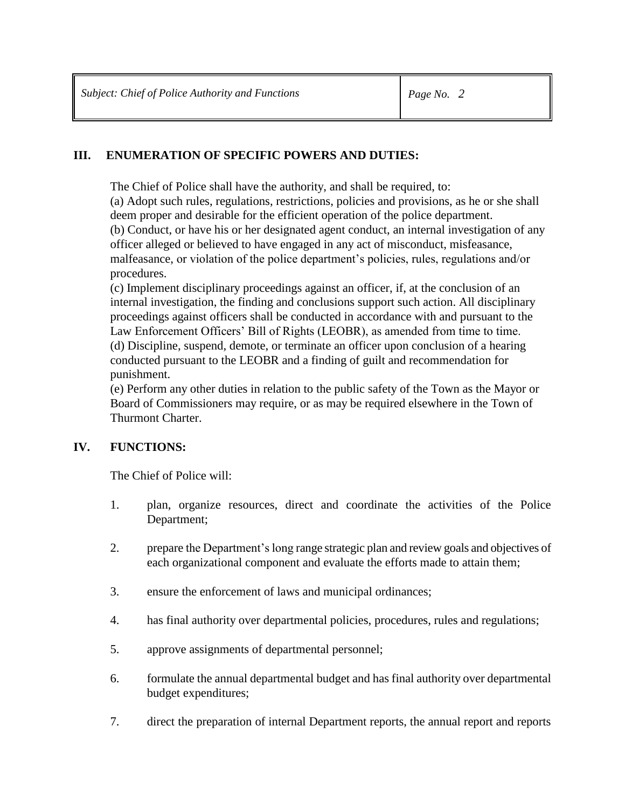# **III. ENUMERATION OF SPECIFIC POWERS AND DUTIES:**

The Chief of Police shall have the authority, and shall be required, to:

(a) Adopt such rules, regulations, restrictions, policies and provisions, as he or she shall deem proper and desirable for the efficient operation of the police department. (b) Conduct, or have his or her designated agent conduct, an internal investigation of any officer alleged or believed to have engaged in any act of misconduct, misfeasance, malfeasance, or violation of the police department's policies, rules, regulations and/or procedures.

(c) Implement disciplinary proceedings against an officer, if, at the conclusion of an internal investigation, the finding and conclusions support such action. All disciplinary proceedings against officers shall be conducted in accordance with and pursuant to the Law Enforcement Officers' Bill of Rights (LEOBR), as amended from time to time. (d) Discipline, suspend, demote, or terminate an officer upon conclusion of a hearing conducted pursuant to the LEOBR and a finding of guilt and recommendation for punishment.

(e) Perform any other duties in relation to the public safety of the Town as the Mayor or Board of Commissioners may require, or as may be required elsewhere in the Town of Thurmont Charter.

#### **IV. FUNCTIONS:**

The Chief of Police will:

- 1. plan, organize resources, direct and coordinate the activities of the Police Department;
- 2. prepare the Department's long range strategic plan and review goals and objectives of each organizational component and evaluate the efforts made to attain them;
- 3. ensure the enforcement of laws and municipal ordinances;
- 4. has final authority over departmental policies, procedures, rules and regulations;
- 5. approve assignments of departmental personnel;
- 6. formulate the annual departmental budget and has final authority over departmental budget expenditures;
- 7. direct the preparation of internal Department reports, the annual report and reports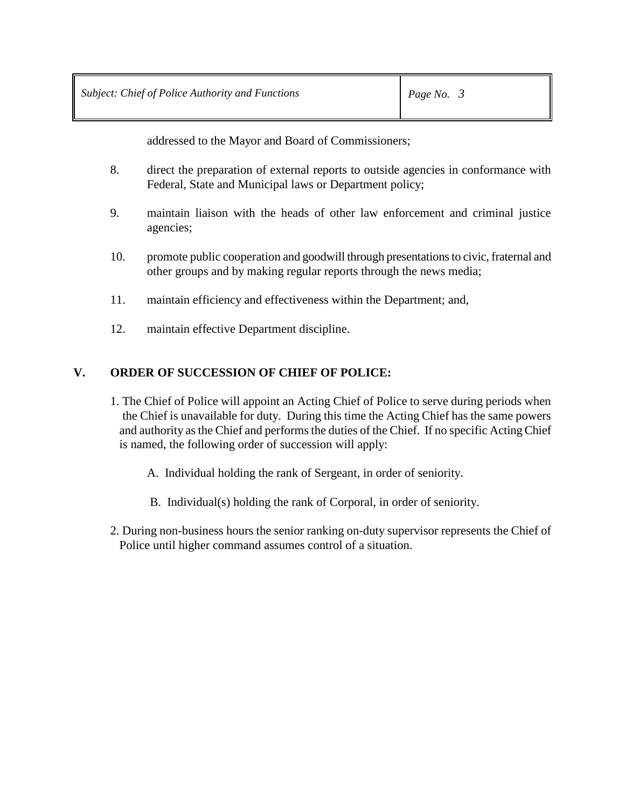addressed to the Mayor and Board of Commissioners;

- 8. direct the preparation of external reports to outside agencies in conformance with Federal, State and Municipal laws or Department policy;
- 9. maintain liaison with the heads of other law enforcement and criminal justice agencies;
- 10. promote public cooperation and goodwill through presentations to civic, fraternal and other groups and by making regular reports through the news media;
- 11. maintain efficiency and effectiveness within the Department; and,
- 12. maintain effective Department discipline.

### **V. ORDER OF SUCCESSION OF CHIEF OF POLICE:**

- 1. The Chief of Police will appoint an Acting Chief of Police to serve during periods when the Chief is unavailable for duty. During this time the Acting Chief has the same powers and authority as the Chief and performs the duties of the Chief. If no specific Acting Chief is named, the following order of succession will apply:
	- A. Individual holding the rank of Sergeant, in order of seniority.
	- B. Individual(s) holding the rank of Corporal, in order of seniority.
- 2. During non-business hours the senior ranking on-duty supervisor represents the Chief of Police until higher command assumes control of a situation.